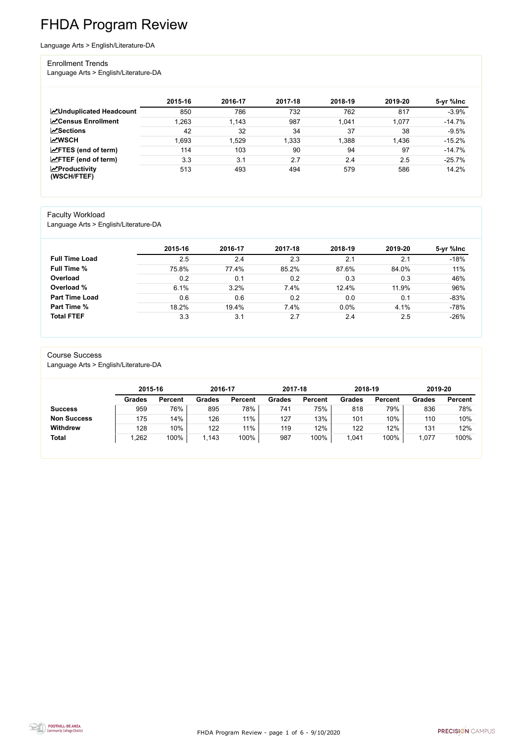FHDA Program Review - page 1 of 6 - 9/10/2020



# FHDA Program Review

Language Arts > English/Literature-DA

#### Enrollment Trends

Language Arts > English/Literature-DA

|                                    | 2015-16 | 2016-17 | 2017-18 | 2018-19 | 2019-20 | 5-yr %lnc |
|------------------------------------|---------|---------|---------|---------|---------|-----------|
| <b>ZUnduplicated Headcount</b>     | 850     | 786     | 732     | 762     | 817     | $-3.9%$   |
| <b>∠</b> Census Enrollment         | .263    | 1,143   | 987     | 1,041   | 1,077   | $-14.7%$  |
| <b>ZSections</b>                   | 42      | 32      | 34      | 37      | 38      | $-9.5%$   |
| <b>MWSCH</b>                       | .693    | 1,529   | 1,333   | 1,388   | 1,436   | $-15.2%$  |
| $\angle$ FTES (end of term)        | 114     | 103     | 90      | 94      | 97      | $-14.7%$  |
| $\angle$ FTEF (end of term)        | 3.3     | 3.1     | 2.7     | 2.4     | 2.5     | $-25.7%$  |
| $\chi$ Productivity<br>(WSCH/FTEF) | 513     | 493     | 494     | 579     | 586     | 14.2%     |

#### Faculty Workload

Language Arts > English/Literature-DA

|                       | 2015-16 | 2016-17 | 2017-18 | 2018-19 | 2019-20 | 5-yr %lnc |
|-----------------------|---------|---------|---------|---------|---------|-----------|
| <b>Full Time Load</b> | 2.5     | 2.4     | 2.3     | 2.1     | 2.1     | $-18%$    |
| <b>Full Time %</b>    | 75.8%   | 77.4%   | 85.2%   | 87.6%   | 84.0%   | 11%       |
| Overload              | 0.2     | 0.1     | 0.2     | 0.3     | 0.3     | 46%       |
| Overload %            | 6.1%    | 3.2%    | 7.4%    | 12.4%   | 11.9%   | 96%       |
| <b>Part Time Load</b> | 0.6     | 0.6     | 0.2     | 0.0     | 0.1     | $-83%$    |
| <b>Part Time %</b>    | 18.2%   | 19.4%   | 7.4%    | 0.0%    | 4.1%    | $-78%$    |
| <b>Total FTEF</b>     | 3.3     | 3.1     | 2.7     | 2.4     | 2.5     | $-26%$    |

#### Course Success

Language Arts > English/Literature-DA

|                    | 2015-16       |                | 2016-17       |                | 2017-18       |                | 2018-19       |                | 2019-20 |                |
|--------------------|---------------|----------------|---------------|----------------|---------------|----------------|---------------|----------------|---------|----------------|
|                    | <b>Grades</b> | <b>Percent</b> | <b>Grades</b> | <b>Percent</b> | <b>Grades</b> | <b>Percent</b> | <b>Grades</b> | <b>Percent</b> | Grades  | <b>Percent</b> |
| <b>Success</b>     | 959           | 76%            | 895           | 78%            | 741           | 75%            | 818           | 79%            | 836     | 78%            |
| <b>Non Success</b> | 175           | 14%            | 126           | 11%            | 127           | 13%            | 101           | 10%            | 110     | 10%            |
| <b>Withdrew</b>    | 128           | 10%            | 122           | 11%            | 119           | 12%            | 122           | 12%            | 131     | 12%            |
| <b>Total</b>       | ,262          | 100%           | ,143          | 100%           | 987           | 100%           | ,041          | 100%           | 1,077   | 100%           |

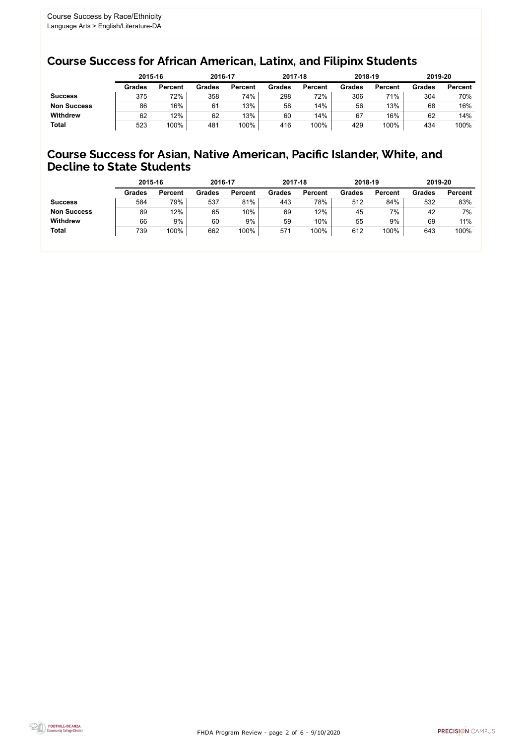FHDA Program Review - page 2 of 6 - 9/10/2020



### Course Success for African American, Latinx, and Filipinx Students

### Course Success for Asian, Native American, Pacific Islander, White, and Decline to State Students

|                    | 2015-16       |                | 2016-17       |                | 2017-18       |                | 2018-19       |                | 2019-20       |                |
|--------------------|---------------|----------------|---------------|----------------|---------------|----------------|---------------|----------------|---------------|----------------|
|                    | <b>Grades</b> | <b>Percent</b> | <b>Grades</b> | <b>Percent</b> | <b>Grades</b> | <b>Percent</b> | <b>Grades</b> | <b>Percent</b> | <b>Grades</b> | <b>Percent</b> |
| <b>Success</b>     | 375           | 72%            | 358           | 74%            | 298           | 72%            | 306           | 71%            | 304           | 70%            |
| <b>Non Success</b> | 86            | 16%            | 61            | 13%            | 58            | 14%            | 56            | 13%            | 68            | 16%            |
| <b>Withdrew</b>    | 62            | 12%            | 62            | 13%            | 60            | 14%            | 67            | 16%            | 62            | 14%            |
| <b>Total</b>       | 523           | 100%           | 481           | 100%           | 416           | 100%           | 429           | 100%           | 434           | 100%           |

|                    | 2015-16       |                | 2016-17       |                | 2017-18       |                | 2018-19       |                | 2019-20       |                |
|--------------------|---------------|----------------|---------------|----------------|---------------|----------------|---------------|----------------|---------------|----------------|
|                    | <b>Grades</b> | <b>Percent</b> | <b>Grades</b> | <b>Percent</b> | <b>Grades</b> | <b>Percent</b> | <b>Grades</b> | <b>Percent</b> | <b>Grades</b> | <b>Percent</b> |
| <b>Success</b>     | 584           | 79%            | 537           | 81%            | 443           | 78%            | 512           | 84%            | 532           | 83%            |
| <b>Non Success</b> | 89            | 12%            | 65            | 10%            | 69            | 12%            | 45            | 7%             | 42            | 7%             |
| <b>Withdrew</b>    | 66            | 9%             | 60            | 9%             | 59            | 10%            | 55            | 9%             | 69            | 11%            |
| <b>Total</b>       | 739           | 100%           | 662           | 100%           | 571           | 100%           | 612           | 100%           | 643           | 100%           |
|                    |               |                |               |                |               |                |               |                |               |                |

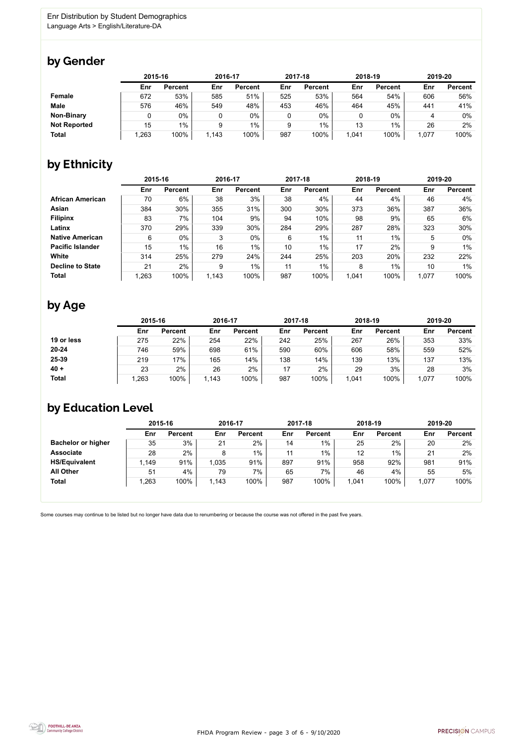FHDA Program Review - page 3 of 6 - 9/10/2020



Some courses may continue to be listed but no longer have data due to renumbering or because the course was not offered in the past five years.



### by Gender

|                     | 2015-16 |                |       | 2016-17        |     | 2017-18        |       | 2018-19        |       | 2019-20        |  |
|---------------------|---------|----------------|-------|----------------|-----|----------------|-------|----------------|-------|----------------|--|
|                     | Enr     | <b>Percent</b> | Enr   | <b>Percent</b> | Enr | <b>Percent</b> | Enr   | <b>Percent</b> | Enr   | <b>Percent</b> |  |
| <b>Female</b>       | 672     | 53%            | 585   | 51%            | 525 | 53%            | 564   | 54%            | 606   | 56%            |  |
| <b>Male</b>         | 576     | 46%            | 549   | 48%            | 453 | 46%            | 464   | 45%            | 441   | 41%            |  |
| <b>Non-Binary</b>   |         | 0%             | 0     | 0%             | 0   | $0\%$          |       | $0\%$          |       | $0\%$          |  |
| <b>Not Reported</b> | 15      | $1\%$          | 9     | $1\%$          | 9   | 1%             | 13    | $1\%$          | 26    | 2%             |  |
| <b>Total</b>        | 1,263   | 100%           | 1,143 | 100%           | 987 | 100%           | 1,041 | 100%           | 1,077 | 100%           |  |

## by Ethnicity

|                         |       | 2015-16        |       | 2016-17        |     | 2017-18        | 2018-19 |                | 2019-20 |                |
|-------------------------|-------|----------------|-------|----------------|-----|----------------|---------|----------------|---------|----------------|
|                         | Enr   | <b>Percent</b> | Enr   | <b>Percent</b> | Enr | <b>Percent</b> | Enr     | <b>Percent</b> | Enr     | <b>Percent</b> |
| <b>African American</b> | 70    | $6\%$          | 38    | 3%             | 38  | 4%             | 44      | 4%             | 46      | 4%             |
| <b>Asian</b>            | 384   | 30%            | 355   | 31%            | 300 | 30%            | 373     | 36%            | 387     | 36%            |
| <b>Filipinx</b>         | 83    | 7%             | 104   | 9%             | 94  | 10%            | 98      | 9%             | 65      | 6%             |
| Latinx                  | 370   | 29%            | 339   | 30%            | 284 | 29%            | 287     | 28%            | 323     | 30%            |
| <b>Native American</b>  | 6     | 0%             | 3     | $0\%$          | 6   | 1%             | 11      | $1\%$          | 5       | $0\%$          |
| <b>Pacific Islander</b> | 15    | $1\%$          | 16    | $1\%$          | 10  | $1\%$          | 17      | 2%             | 9       | 1%             |
| White                   | 314   | 25%            | 279   | 24%            | 244 | 25%            | 203     | 20%            | 232     | 22%            |
| <b>Decline to State</b> | 21    | $2\%$          | 9     | $1\%$          | 11  | $1\%$          | 8       | $1\%$          | 10      | $1\%$          |
| <b>Total</b>            | 1,263 | 100%           | 1,143 | 100%           | 987 | 100%           | 1,041   | 100%           | 1,077   | 100%           |

### by Age

|              |      | 2015-16        |       | 2016-17        |     | 2017-18        |       | 2018-19        |       | 2019-20        |  |
|--------------|------|----------------|-------|----------------|-----|----------------|-------|----------------|-------|----------------|--|
|              | Enr  | <b>Percent</b> | Enr   | <b>Percent</b> | Enr | <b>Percent</b> | Enr   | <b>Percent</b> | Enr   | <b>Percent</b> |  |
| 19 or less   | 275  | 22%            | 254   | 22%            | 242 | 25%            | 267   | 26%            | 353   | 33%            |  |
| 20-24        | 746  | 59%            | 698   | 61%            | 590 | 60%            | 606   | 58%            | 559   | 52%            |  |
| 25-39        | 219  | 17%            | 165   | 14%            | 138 | 14%            | 139   | 13%            | 137   | 13%            |  |
| $40 +$       | 23   | 2%             | 26    | 2%             | 17  | 2%             | 29    | 3%             | 28    | 3%             |  |
| <b>Total</b> | .263 | 100%           | 1,143 | 100%           | 987 | 100%           | 1,041 | 100%           | 1,077 | 100%           |  |

## by Education Level

|                           | 2015-16 |                |      | 2016-17        |     | 2017-18        | 2018-19 |                | 2019-20 |                |
|---------------------------|---------|----------------|------|----------------|-----|----------------|---------|----------------|---------|----------------|
|                           | Enr     | <b>Percent</b> | Enr  | <b>Percent</b> | Enr | <b>Percent</b> | Enr     | <b>Percent</b> | Enr     | <b>Percent</b> |
| <b>Bachelor or higher</b> | 35      | 3%             | 21   | $2\%$          | 14  | $1\%$          | 25      | $2\%$          | 20      | 2%             |
| <b>Associate</b>          | 28      | 2%             | 8    | $1\%$          | 11  | $1\%$          | 12      | $1\%$          | 21      | 2%             |
| <b>HS/Equivalent</b>      | 1,149   | 91%            | ,035 | 91%            | 897 | 91%            | 958     | 92%            | 981     | 91%            |
| <b>All Other</b>          | 51      | 4%             | 79   | 7%             | 65  | $7\%$          | 46      | 4%             | 55      | 5%             |
| <b>Total</b>              | ,263    | 100%           | ,143 | 100%           | 987 | 100%           | 1,041   | 100%           | 1,077   | 100%           |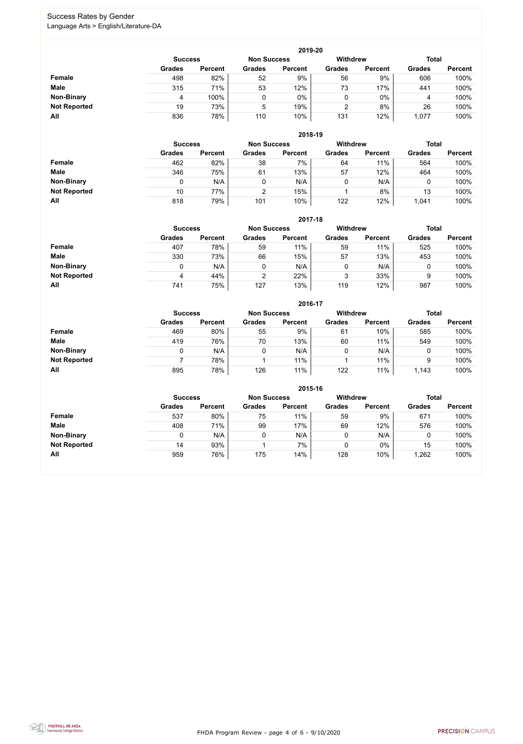FHDA Program Review - page 4 of 6 - 9/10/2020



#### Success Rates by Gender Language Arts > English/Literature-DA

|                     |                | 2019-20        |                    |                |                 |                |               |                |  |  |  |  |  |
|---------------------|----------------|----------------|--------------------|----------------|-----------------|----------------|---------------|----------------|--|--|--|--|--|
|                     | <b>Success</b> |                | <b>Non Success</b> |                | <b>Withdrew</b> |                | <b>Total</b>  |                |  |  |  |  |  |
|                     | <b>Grades</b>  | <b>Percent</b> | <b>Grades</b>      | <b>Percent</b> | <b>Grades</b>   | <b>Percent</b> | <b>Grades</b> | <b>Percent</b> |  |  |  |  |  |
| Female              | 498            | 82%            | 52                 | 9%             | 56              | 9%             | 606           | 100%           |  |  |  |  |  |
| <b>Male</b>         | 315            | 71%            | 53                 | 12%            | 73              | 17%            | 441           | 100%           |  |  |  |  |  |
| <b>Non-Binary</b>   | 4              | 100%           |                    | $0\%$          | 0               | $0\%$          | 4             | 100%           |  |  |  |  |  |
| <b>Not Reported</b> | 19             | 73%            | 5                  | 19%            |                 | 8%             | 26            | 100%           |  |  |  |  |  |
| All                 | 836            | 78%            | 110                | 10%            | 131             | 12%            | 1,077         | 100%           |  |  |  |  |  |

|                     | 2018-19        |                |                    |                |                 |                |               |                |  |  |  |  |  |
|---------------------|----------------|----------------|--------------------|----------------|-----------------|----------------|---------------|----------------|--|--|--|--|--|
|                     | <b>Success</b> |                | <b>Non Success</b> |                | <b>Withdrew</b> |                | <b>Total</b>  |                |  |  |  |  |  |
|                     | <b>Grades</b>  | <b>Percent</b> | <b>Grades</b>      | <b>Percent</b> | <b>Grades</b>   | <b>Percent</b> | <b>Grades</b> | <b>Percent</b> |  |  |  |  |  |
| <b>Female</b>       | 462            | 82%            | 38                 | 7%             | 64              | 11%            | 564           | 100%           |  |  |  |  |  |
| <b>Male</b>         | 346            | 75%            | 61                 | 13%            | 57              | 12%            | 464           | 100%           |  |  |  |  |  |
| <b>Non-Binary</b>   |                | N/A            | 0                  | N/A            | 0               | N/A            |               | 100%           |  |  |  |  |  |
| <b>Not Reported</b> | 10             | 77%            | っ                  | 15%            |                 | 8%             | 13            | 100%           |  |  |  |  |  |
| All                 | 818            | 79%            | 101                | 10%            | 122             | 12%            | 1,041         | 100%           |  |  |  |  |  |

|                     |               | 2017-18                              |               |                |               |                |               |                |  |  |  |  |  |  |
|---------------------|---------------|--------------------------------------|---------------|----------------|---------------|----------------|---------------|----------------|--|--|--|--|--|--|
|                     |               | <b>Non Success</b><br><b>Success</b> |               |                |               |                | <b>Total</b>  |                |  |  |  |  |  |  |
|                     | <b>Grades</b> | <b>Percent</b>                       | <b>Grades</b> | <b>Percent</b> | <b>Grades</b> | <b>Percent</b> | <b>Grades</b> | <b>Percent</b> |  |  |  |  |  |  |
| Female              | 407           | 78%                                  | 59            | 11%            | 59            | 11%            | 525           | 100%           |  |  |  |  |  |  |
| <b>Male</b>         | 330           | 73%                                  | 66            | 15%            | 57            | 13%            | 453           | 100%           |  |  |  |  |  |  |
| <b>Non-Binary</b>   | 0             | N/A                                  | 0             | N/A            | 0             | N/A            | 0             | 100%           |  |  |  |  |  |  |
| <b>Not Reported</b> | 4             | 44%                                  | 2             | 22%            | 3             | 33%            | 9             | 100%           |  |  |  |  |  |  |
| All                 | 741           | 75%                                  | 127           | 13%            | 119           | 12%            | 987           | 100%           |  |  |  |  |  |  |

|                     |                | 2016-17            |               |                 |               |                |               |                |  |  |
|---------------------|----------------|--------------------|---------------|-----------------|---------------|----------------|---------------|----------------|--|--|
|                     | <b>Success</b> | <b>Non Success</b> |               | <b>Withdrew</b> |               | <b>Total</b>   |               |                |  |  |
|                     | <b>Grades</b>  | <b>Percent</b>     | <b>Grades</b> | <b>Percent</b>  | <b>Grades</b> | <b>Percent</b> | <b>Grades</b> | <b>Percent</b> |  |  |
| Female              | 469            | 80%                | 55            | 9%              | 61            | 10%            | 585           | 100%           |  |  |
| <b>Male</b>         | 419            | 76%                | 70            | 13%             | 60            | 11%            | 549           | 100%           |  |  |
| <b>Non-Binary</b>   | 0              | N/A                |               | N/A             | 0             | N/A            | 0             | 100%           |  |  |
| <b>Not Reported</b> |                | 78%                |               | 11%             |               | 11%            | 9             | 100%           |  |  |
| All                 | 895            | 78%                | 126           | 11%             | 122           | 11%            | 1,143         | 100%           |  |  |

|                     |                |                    |               | 2015-16         |               |                |               |                |
|---------------------|----------------|--------------------|---------------|-----------------|---------------|----------------|---------------|----------------|
|                     | <b>Success</b> | <b>Non Success</b> |               | <b>Withdrew</b> |               | <b>Total</b>   |               |                |
|                     | <b>Grades</b>  | <b>Percent</b>     | <b>Grades</b> | <b>Percent</b>  | <b>Grades</b> | <b>Percent</b> | <b>Grades</b> | <b>Percent</b> |
| <b>Female</b>       | 537            | 80%                | 75            | 11%             | 59            | 9%             | 671           | 100%           |
| <b>Male</b>         | 408            | 71%                | 99            | 17%             | 69            | 12%            | 576           | 100%           |
| <b>Non-Binary</b>   |                | N/A                | 0             | N/A             |               | N/A            |               | 100%           |
| <b>Not Reported</b> | 14             | 93%                |               | 7%              |               | $0\%$          | 15            | 100%           |
| All                 | 959            | 76%                | 175           | 14%             | 128           | 10%            | 1,262         | 100%           |

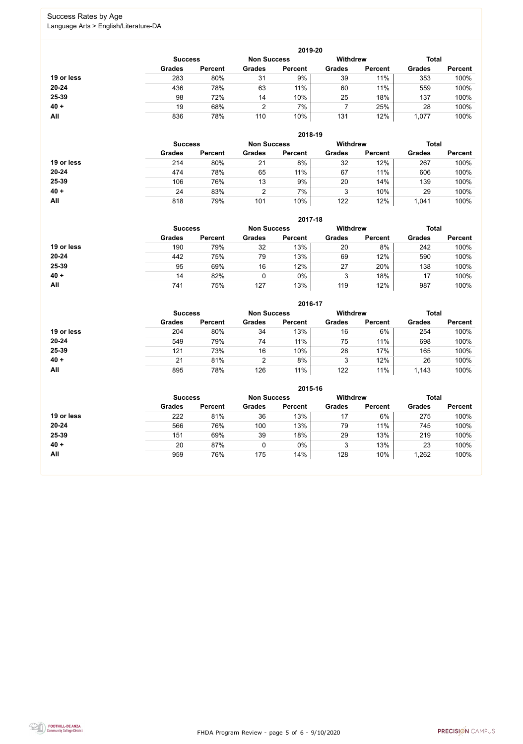FHDA Program Review - page 5 of 6 - 9/10/2020



#### Success Rates by Age Language Arts > English/Literature-DA

|            | 2019-20        |                |                    |                |                 |                |               |                |  |
|------------|----------------|----------------|--------------------|----------------|-----------------|----------------|---------------|----------------|--|
|            | <b>Success</b> |                | <b>Non Success</b> |                | <b>Withdrew</b> |                | <b>Total</b>  |                |  |
|            | <b>Grades</b>  | <b>Percent</b> | <b>Grades</b>      | <b>Percent</b> | <b>Grades</b>   | <b>Percent</b> | <b>Grades</b> | <b>Percent</b> |  |
| 19 or less | 283            | 80%            | 31                 | 9%             | 39              | 11%            | 353           | 100%           |  |
| $20 - 24$  | 436            | 78%            | 63                 | 11%            | 60              | 11%            | 559           | 100%           |  |
| 25-39      | 98             | 72%            | 14                 | 10%            | 25              | 18%            | 137           | 100%           |  |
| $40 +$     | 19             | 68%            | າ                  | 7%             |                 | 25%            | 28            | 100%           |  |
| All        | 836            | 78%            | 110                | 10%            | 131             | 12%            | 1,077         | 100%           |  |

|            | 2018-19        |                |                    |                |                 |                |               |                |  |
|------------|----------------|----------------|--------------------|----------------|-----------------|----------------|---------------|----------------|--|
|            | <b>Success</b> |                | <b>Non Success</b> |                | <b>Withdrew</b> |                | <b>Total</b>  |                |  |
|            | <b>Grades</b>  | <b>Percent</b> | <b>Grades</b>      | <b>Percent</b> | <b>Grades</b>   | <b>Percent</b> | <b>Grades</b> | <b>Percent</b> |  |
| 19 or less | 214            | 80%            | 21                 | 8%             | 32              | 12%            | 267           | 100%           |  |
| $20 - 24$  | 474            | 78%            | 65                 | 11%            | 67              | 11%            | 606           | 100%           |  |
| 25-39      | 106            | 76%            | 13                 | 9%             | 20              | 14%            | 139           | 100%           |  |
| $40 +$     | 24             | 83%            | 2                  | 7%             | 3               | 10%            | 29            | 100%           |  |
| All        | 818            | 79%            | 101                | 10%            | 122             | 12%            | 1,041         | 100%           |  |

|            | 2017-18        |                |               |                    |                 |                |               |                |  |
|------------|----------------|----------------|---------------|--------------------|-----------------|----------------|---------------|----------------|--|
|            | <b>Success</b> |                |               | <b>Non Success</b> | <b>Withdrew</b> |                | <b>Total</b>  |                |  |
|            | <b>Grades</b>  | <b>Percent</b> | <b>Grades</b> | <b>Percent</b>     | <b>Grades</b>   | <b>Percent</b> | <b>Grades</b> | <b>Percent</b> |  |
| 19 or less | 190            | 79%            | 32            | 13%                | 20              | 8%             | 242           | 100%           |  |
| 20-24      | 442            | 75%            | 79            | 13%                | 69              | 12%            | 590           | 100%           |  |
| 25-39      | 95             | 69%            | 16            | 12%                | 27              | 20%            | 138           | 100%           |  |
| $40 +$     | 14             | 82%            | 0             | 0%                 | 3               | 18%            | 17            | 100%           |  |
| All        | 741            | 75%            | 127           | 13%                | 119             | 12%            | 987           | 100%           |  |

|            |                |                    |               | 2016-17         |               |                |               |                |
|------------|----------------|--------------------|---------------|-----------------|---------------|----------------|---------------|----------------|
|            | <b>Success</b> | <b>Non Success</b> |               | <b>Withdrew</b> |               | <b>Total</b>   |               |                |
|            | <b>Grades</b>  | <b>Percent</b>     | <b>Grades</b> | <b>Percent</b>  | <b>Grades</b> | <b>Percent</b> | <b>Grades</b> | <b>Percent</b> |
| 19 or less | 204            | 80%                | 34            | 13%             | 16            | 6%             | 254           | 100%           |
| $20 - 24$  | 549            | 79%                | 74            | 11%             | 75            | 11%            | 698           | 100%           |
| 25-39      | 121            | 73%                | 16            | 10%             | 28            | 17%            | 165           | 100%           |
| $40 +$     | 21             | 81%                | 2             | 8%              | 3             | 12%            | 26            | 100%           |
| All        | 895            | 78%                | 126           | 11%             | 122           | 11%            | 1,143         | 100%           |

|            | 2015-16        |                    |               |                 |               |                |               |                |  |
|------------|----------------|--------------------|---------------|-----------------|---------------|----------------|---------------|----------------|--|
|            | <b>Success</b> | <b>Non Success</b> |               | <b>Withdrew</b> |               | <b>Total</b>   |               |                |  |
|            | <b>Grades</b>  | <b>Percent</b>     | <b>Grades</b> | <b>Percent</b>  | <b>Grades</b> | <b>Percent</b> | <b>Grades</b> | <b>Percent</b> |  |
| 19 or less | 222            | 81%                | 36            | 13%             | 17            | 6%             | 275           | 100%           |  |
| $20 - 24$  | 566            | 76%                | 100           | 13%             | 79            | 11%            | 745           | 100%           |  |
| 25-39      | 151            | 69%                | 39            | 18%             | 29            | 13%            | 219           | 100%           |  |
| $40 +$     | 20             | 87%                |               | 0%              |               | 13%            | 23            | 100%           |  |
| All        | 959            | 76%                | 175           | 14%             | 128           | 10%            | ,262          | 100%           |  |